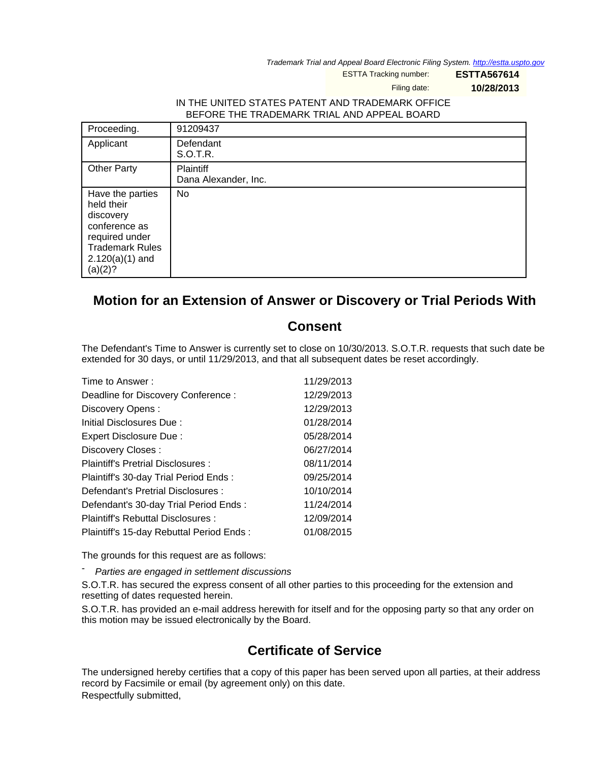Trademark Trial and Appeal Board Electronic Filing System. <http://estta.uspto.gov>

ESTTA Tracking number: **ESTTA567614**

Filing date: **10/28/2013**

## IN THE UNITED STATES PATENT AND TRADEMARK OFFICE BEFORE THE TRADEMARK TRIAL AND APPEAL BOARD

| Proceeding.                                                                                                                              | 91209437                          |
|------------------------------------------------------------------------------------------------------------------------------------------|-----------------------------------|
| Applicant                                                                                                                                | Defendant<br>S.O.T.R.             |
| <b>Other Party</b>                                                                                                                       | Plaintiff<br>Dana Alexander, Inc. |
| Have the parties<br>held their<br>discovery<br>conference as<br>required under<br><b>Trademark Rules</b><br>$2.120(a)(1)$ and<br>(a)(2)? | No                                |

## **Motion for an Extension of Answer or Discovery or Trial Periods With**

## **Consent**

The Defendant's Time to Answer is currently set to close on 10/30/2013. S.O.T.R. requests that such date be extended for 30 days, or until 11/29/2013, and that all subsequent dates be reset accordingly.

| Time to Answer:                          | 11/29/2013 |
|------------------------------------------|------------|
| Deadline for Discovery Conference:       | 12/29/2013 |
| Discovery Opens:                         | 12/29/2013 |
| Initial Disclosures Due:                 | 01/28/2014 |
| Expert Disclosure Due:                   | 05/28/2014 |
| Discovery Closes:                        | 06/27/2014 |
| Plaintiff's Pretrial Disclosures:        | 08/11/2014 |
| Plaintiff's 30-day Trial Period Ends:    | 09/25/2014 |
| Defendant's Pretrial Disclosures :       | 10/10/2014 |
| Defendant's 30-day Trial Period Ends:    | 11/24/2014 |
| Plaintiff's Rebuttal Disclosures :       | 12/09/2014 |
| Plaintiff's 15-day Rebuttal Period Ends: | 01/08/2015 |

The grounds for this request are as follows:

Parties are engaged in settlement discussions

S.O.T.R. has secured the express consent of all other parties to this proceeding for the extension and resetting of dates requested herein.

S.O.T.R. has provided an e-mail address herewith for itself and for the opposing party so that any order on this motion may be issued electronically by the Board.

## **Certificate of Service**

The undersigned hereby certifies that a copy of this paper has been served upon all parties, at their address record by Facsimile or email (by agreement only) on this date. Respectfully submitted,